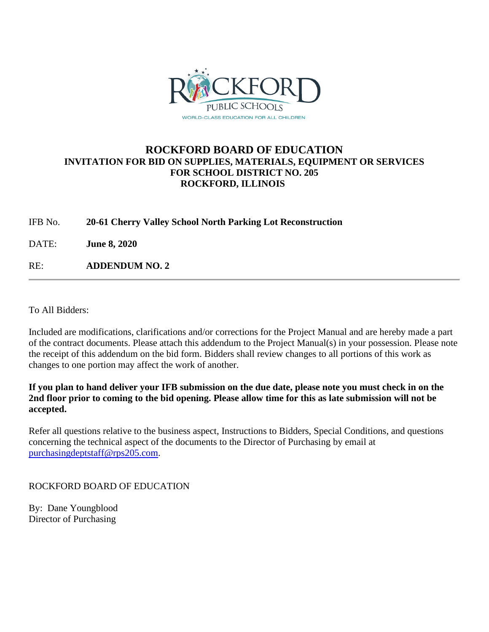

## **ROCKFORD BOARD OF EDUCATION INVITATION FOR BID ON SUPPLIES, MATERIALS, EQUIPMENT OR SERVICES FOR SCHOOL DISTRICT NO. 205 ROCKFORD, ILLINOIS**

IFB No. **20-61 Cherry Valley School North Parking Lot Reconstruction**

DATE: **June 8, 2020**

RE: **ADDENDUM NO. 2**

To All Bidders:

Included are modifications, clarifications and/or corrections for the Project Manual and are hereby made a part of the contract documents. Please attach this addendum to the Project Manual(s) in your possession. Please note the receipt of this addendum on the bid form. Bidders shall review changes to all portions of this work as changes to one portion may affect the work of another.

**If you plan to hand deliver your IFB submission on the due date, please note you must check in on the 2nd floor prior to coming to the bid opening. Please allow time for this as late submission will not be accepted.**

Refer all questions relative to the business aspect, Instructions to Bidders, Special Conditions, and questions concerning the technical aspect of the documents to the Director of Purchasing by email at [purchasingdeptstaff@rps205.com.](mailto:purchasingdeptstaff@rps205.com)

## ROCKFORD BOARD OF EDUCATION

By: Dane Youngblood Director of Purchasing